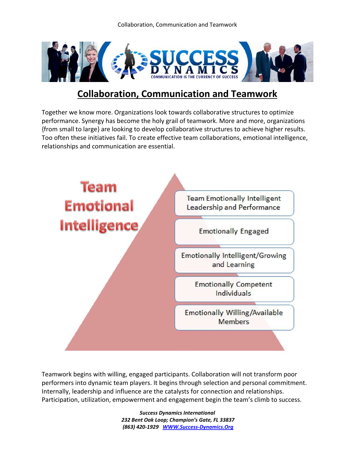Collaboration, Communication and Teamwork



## **Collaboration, Communication and Teamwork**

Together we know more. Organizations look towards collaborative structures to optimize performance. Synergy has become the holy grail of teamwork. More and more, organizations {from small to large} are looking to develop collaborative structures to achieve higher results. Too often these initiatives fail. To create effective team collaborations, emotional intelligence, relationships and communication are essential.



Teamwork begins with willing, engaged participants. Collaboration will not transform poor performers into dynamic team players. It begins through selection and personal commitment. Internally, leadership and influence are the catalysts for connection and relationships. Participation, utilization, empowerment and engagement begin the team's climb to success.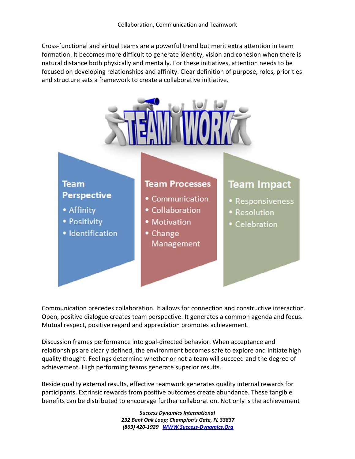Cross-functional and virtual teams are a powerful trend but merit extra attention in team formation. It becomes more difficult to generate identity, vision and cohesion when there is natural distance both physically and mentally. For these initiatives, attention needs to be focused on developing relationships and affinity. Clear definition of purpose, roles, priorities and structure sets a framework to create a collaborative initiative.



Communication precedes collaboration. It allows for connection and constructive interaction. Open, positive dialogue creates team perspective. It generates a common agenda and focus. Mutual respect, positive regard and appreciation promotes achievement.

Discussion frames performance into goal-directed behavior. When acceptance and relationships are clearly defined, the environment becomes safe to explore and initiate high quality thought. Feelings determine whether or not a team will succeed and the degree of achievement. High performing teams generate superior results.

Beside quality external results, effective teamwork generates quality internal rewards for participants. Extrinsic rewards from positive outcomes create abundance. These tangible benefits can be distributed to encourage further collaboration. Not only is the achievement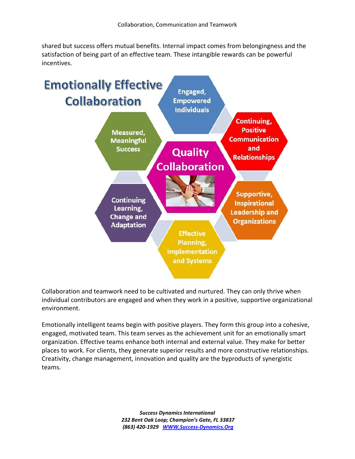shared but success offers mutual benefits. Internal impact comes from belongingness and the satisfaction of being part of an effective team. These intangible rewards can be powerful incentives.



Collaboration and teamwork need to be cultivated and nurtured. They can only thrive when individual contributors are engaged and when they work in a positive, supportive organizational environment.

Emotionally intelligent teams begin with positive players. They form this group into a cohesive, engaged, motivated team. This team serves as the achievement unit for an emotionally smart organization. Effective teams enhance both internal and external value. They make for better places to work. For clients, they generate superior results and more constructive relationships. Creativity, change management, innovation and quality are the byproducts of synergistic teams.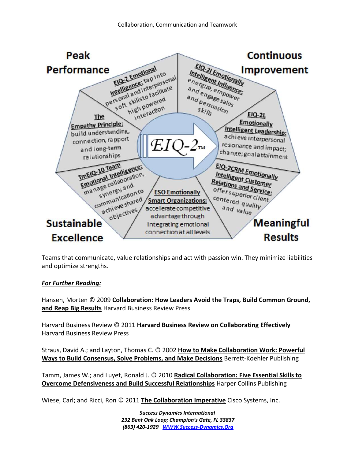

Teams that communicate, value relationships and act with passion win. They minimize liabilities and optimize strengths.

## *For Further Reading:*

Hansen, Morten © 2009 **Collaboration: How Leaders Avoid the Traps, Build Common Ground, and Reap Big Results** Harvard Business Review Press

Harvard Business Review © 2011 **Harvard Business Review on Collaborating Effectively** Harvard Business Review Press

Straus, David A.; and Layton, Thomas C. © 2002 **How to Make Collaboration Work: Powerful Ways to Build Consensus, Solve Problems, and Make Decisions** Berrett-Koehler Publishing

Tamm, James W.; and Luyet, Ronald J. © 2010 **Radical Collaboration: Five Essential Skills to Overcome Defensiveness and Build Successful Relationships** Harper Collins Publishing

Wiese, Carl; and Ricci, Ron © 2011 **The Collaboration Imperative** Cisco Systems, Inc.